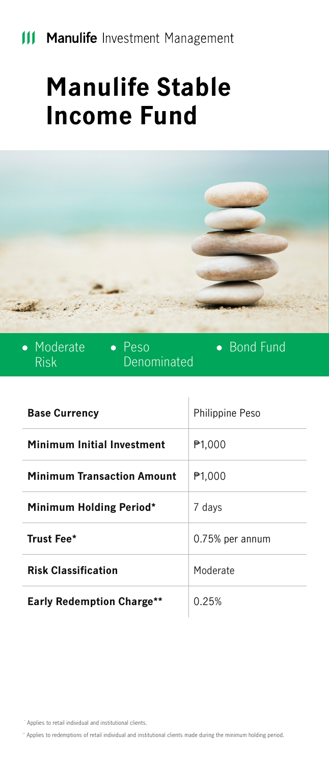# **III Manulife** Investment Management

# **Manulife Stable Income Fund**



| • Moderate<br>Risk   | $\bullet$ Peso<br>Denominated | • Bond Fund     |
|----------------------|-------------------------------|-----------------|
| <b>Base Currency</b> |                               | Philippine Peso |

| Minimum Initial Investment        | P <sub>1,000</sub> |
|-----------------------------------|--------------------|
| <b>Minimum Transaction Amount</b> | ₱1.000             |
| Minimum Holding Period*           | 7 days             |
| Trust Fee*                        | 0.75% per annum    |
| <b>Risk Classification</b>        | Moderate           |
| <b>Early Redemption Charge**</b>  | 0.25%              |

\* Applies to retail individual and institutional clients.

\*\* Applies to redemptions of retail individual and institutional clients made during the minimum holding period.